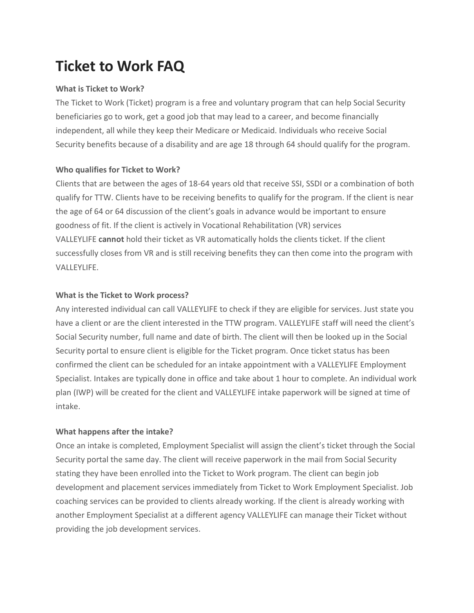# **Ticket to Work FAQ**

### **What is Ticket to Work?**

The Ticket to Work (Ticket) program is a free and voluntary program that can help Social Security beneficiaries go to work, get a good job that may lead to a career, and become financially independent, all while they keep their Medicare or Medicaid. Individuals who receive Social Security benefits because of a disability and are age 18 through 64 should qualify for the program.

#### **Who qualifies for Ticket to Work?**

Clients that are between the ages of 18-64 years old that receive SSI, SSDI or a combination of both qualify for TTW. Clients have to be receiving benefits to qualify for the program. If the client is near the age of 64 or 64 discussion of the client's goals in advance would be important to ensure goodness of fit. If the client is actively in Vocational Rehabilitation (VR) services VALLEYLIFE **cannot** hold their ticket as VR automatically holds the clients ticket. If the client successfully closes from VR and is still receiving benefits they can then come into the program with VALLEYLIFE.

#### **What is the Ticket to Work process?**

Any interested individual can call VALLEYLIFE to check if they are eligible for services. Just state you have a client or are the client interested in the TTW program. VALLEYLIFE staff will need the client's Social Security number, full name and date of birth. The client will then be looked up in the Social Security portal to ensure client is eligible for the Ticket program. Once ticket status has been confirmed the client can be scheduled for an intake appointment with a VALLEYLIFE Employment Specialist. Intakes are typically done in office and take about 1 hour to complete. An individual work plan (IWP) will be created for the client and VALLEYLIFE intake paperwork will be signed at time of intake.

## **What happens after the intake?**

Once an intake is completed, Employment Specialist will assign the client's ticket through the Social Security portal the same day. The client will receive paperwork in the mail from Social Security stating they have been enrolled into the Ticket to Work program. The client can begin job development and placement services immediately from Ticket to Work Employment Specialist. Job coaching services can be provided to clients already working. If the client is already working with another Employment Specialist at a different agency VALLEYLIFE can manage their Ticket without providing the job development services.